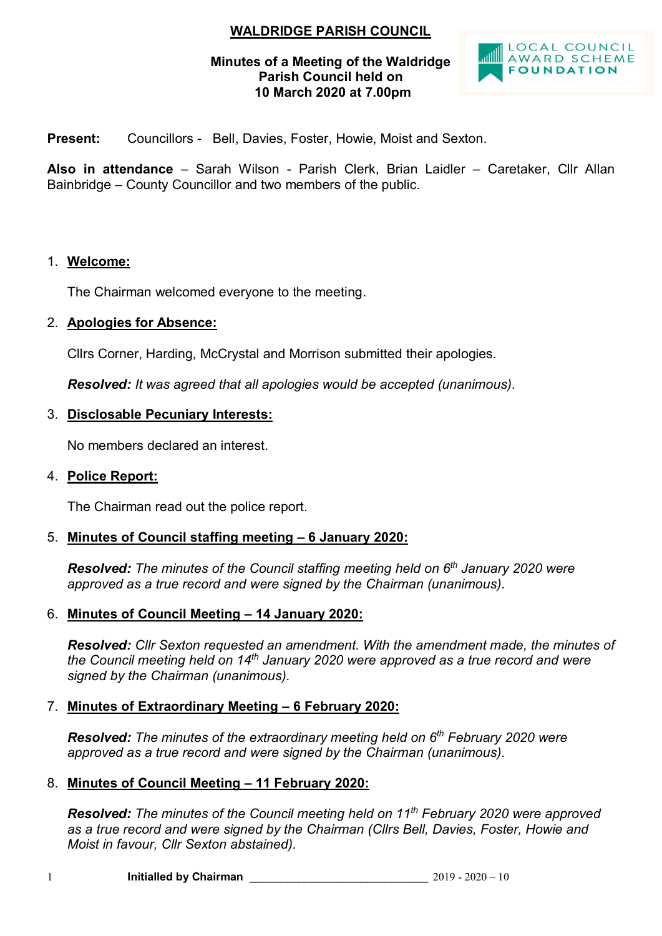# **WALDRIDGE PARISH COUNCIL**

### **Minutes of a Meeting of the Waldridge Parish Council held on 10 March 2020 at 7.00pm**



**Present:** Councillors - Bell, Davies, Foster, Howie, Moist and Sexton.

**Also in attendance** – Sarah Wilson - Parish Clerk, Brian Laidler – Caretaker, Cllr Allan Bainbridge – County Councillor and two members of the public.

#### 1. **Welcome:**

The Chairman welcomed everyone to the meeting.

### 2. **Apologies for Absence:**

Cllrs Corner, Harding, McCrystal and Morrison submitted their apologies.

*Resolved: It was agreed that all apologies would be accepted (unanimous).*

### 3. **Disclosable Pecuniary Interests:**

No members declared an interest.

#### 4. **Police Report:**

The Chairman read out the police report.

# 5. **Minutes of Council staffing meeting – 6 January 2020:**

*Resolved: The minutes of the Council staffing meeting held on 6 th January 2020 were approved as a true record and were signed by the Chairman (unanimous).*

#### 6. **Minutes of Council Meeting – 14 January 2020:**

*Resolved: Cllr Sexton requested an amendment. With the amendment made, the minutes of the Council meeting held on 14th January 2020 were approved as a true record and were signed by the Chairman (unanimous).*

# 7. **Minutes of Extraordinary Meeting – 6 February 2020:**

*Resolved: The minutes of the extraordinary meeting held on 6 th February 2020 were approved as a true record and were signed by the Chairman (unanimous).*

#### 8. **Minutes of Council Meeting – 11 February 2020:**

*Resolved: The minutes of the Council meeting held on 11th February 2020 were approved as a true record and were signed by the Chairman (Cllrs Bell, Davies, Foster, Howie and Moist in favour, Cllr Sexton abstained).*

1 **Initialled by Chairman** \_\_\_\_\_\_\_\_\_\_\_\_\_\_\_\_\_\_\_\_\_\_\_\_\_\_\_\_\_ 2019 - 2020 – 10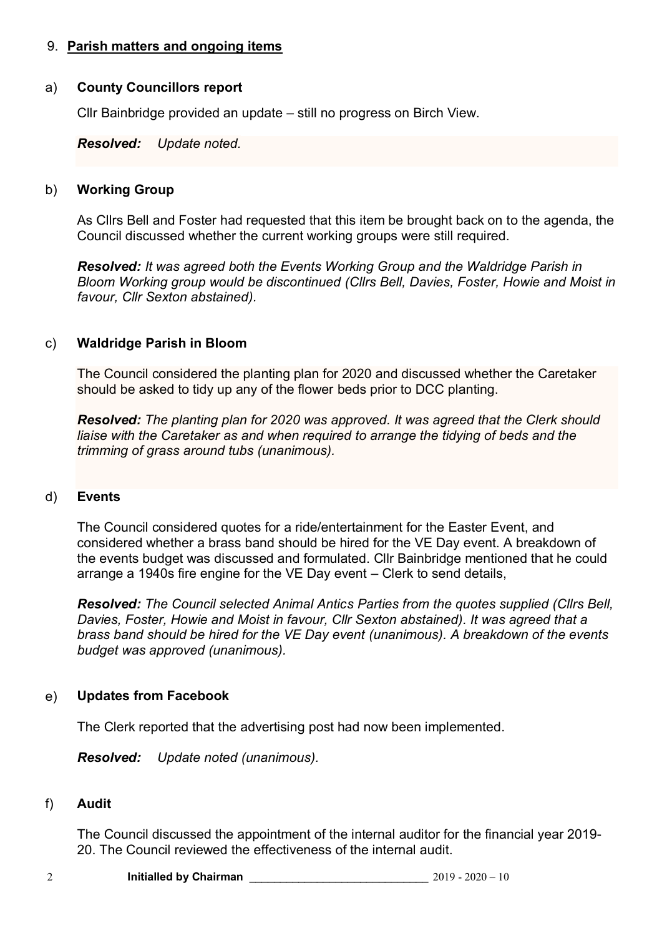# 9. **Parish matters and ongoing items**

#### a) **County Councillors report**

Cllr Bainbridge provided an update – still no progress on Birch View.

*Resolved: Update noted.*

#### b) **Working Group**

As Cllrs Bell and Foster had requested that this item be brought back on to the agenda, the Council discussed whether the current working groups were still required.

*Resolved: It was agreed both the Events Working Group and the Waldridge Parish in Bloom Working group would be discontinued (Cllrs Bell, Davies, Foster, Howie and Moist in favour, Cllr Sexton abstained).*

### c) **Waldridge Parish in Bloom**

The Council considered the planting plan for 2020 and discussed whether the Caretaker should be asked to tidy up any of the flower beds prior to DCC planting.

*Resolved: The planting plan for 2020 was approved. It was agreed that the Clerk should liaise with the Caretaker as and when required to arrange the tidying of beds and the trimming of grass around tubs (unanimous).*

#### d) **Events**

The Council considered quotes for a ride/entertainment for the Easter Event, and considered whether a brass band should be hired for the VE Day event. A breakdown of the events budget was discussed and formulated. Cllr Bainbridge mentioned that he could arrange a 1940s fire engine for the VE Day event – Clerk to send details,

*Resolved: The Council selected Animal Antics Parties from the quotes supplied (Cllrs Bell, Davies, Foster, Howie and Moist in favour, Cllr Sexton abstained). It was agreed that a brass band should be hired for the VE Day event (unanimous). A breakdown of the events budget was approved (unanimous).*

# e) **Updates from Facebook**

The Clerk reported that the advertising post had now been implemented.

*Resolved: Update noted (unanimous).*

#### f) **Audit**

The Council discussed the appointment of the internal auditor for the financial year 2019- 20. The Council reviewed the effectiveness of the internal audit.

| <b>Initialled by Chairman</b> |  | $2019 - 2020 - 10$ |
|-------------------------------|--|--------------------|
|-------------------------------|--|--------------------|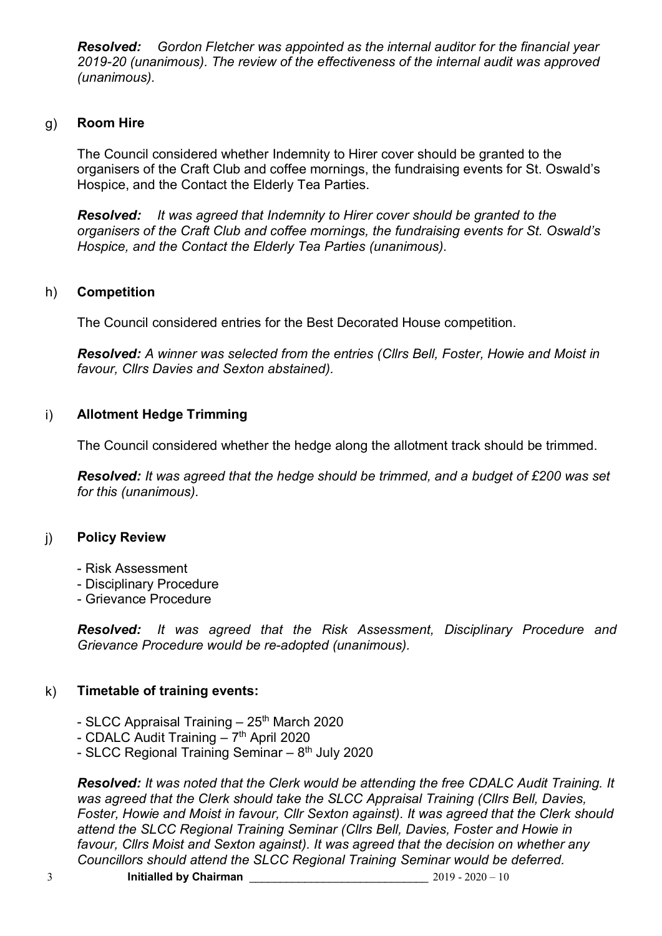*Resolved: Gordon Fletcher was appointed as the internal auditor for the financial year 2019-20 (unanimous). The review of the effectiveness of the internal audit was approved (unanimous).*

#### g) **Room Hire**

The Council considered whether Indemnity to Hirer cover should be granted to the organisers of the Craft Club and coffee mornings, the fundraising events for St. Oswald's Hospice, and the Contact the Elderly Tea Parties.

*Resolved: It was agreed that Indemnity to Hirer cover should be granted to the organisers of the Craft Club and coffee mornings, the fundraising events for St. Oswald's Hospice, and the Contact the Elderly Tea Parties (unanimous).*

# h) **Competition**

The Council considered entries for the Best Decorated House competition.

*Resolved: A winner was selected from the entries (Cllrs Bell, Foster, Howie and Moist in favour, Cllrs Davies and Sexton abstained).*

# i) **Allotment Hedge Trimming**

The Council considered whether the hedge along the allotment track should be trimmed.

*Resolved: It was agreed that the hedge should be trimmed, and a budget of £200 was set for this (unanimous).*

#### j) **Policy Review**

- Risk Assessment
- Disciplinary Procedure
- Grievance Procedure

*Resolved: It was agreed that the Risk Assessment, Disciplinary Procedure and Grievance Procedure would be re-adopted (unanimous).*

# k) **Timetable of training events:**

- SLCC Appraisal Training  $-25<sup>th</sup>$  March 2020
- CDALC Audit Training 7<sup>th</sup> April 2020
- SLCC Regional Training Seminar 8<sup>th</sup> July 2020

*Resolved: It was noted that the Clerk would be attending the free CDALC Audit Training. It was agreed that the Clerk should take the SLCC Appraisal Training (Cllrs Bell, Davies, Foster, Howie and Moist in favour, Cllr Sexton against). It was agreed that the Clerk should attend the SLCC Regional Training Seminar (Cllrs Bell, Davies, Foster and Howie in favour, Cllrs Moist and Sexton against). It was agreed that the decision on whether any Councillors should attend the SLCC Regional Training Seminar would be deferred.*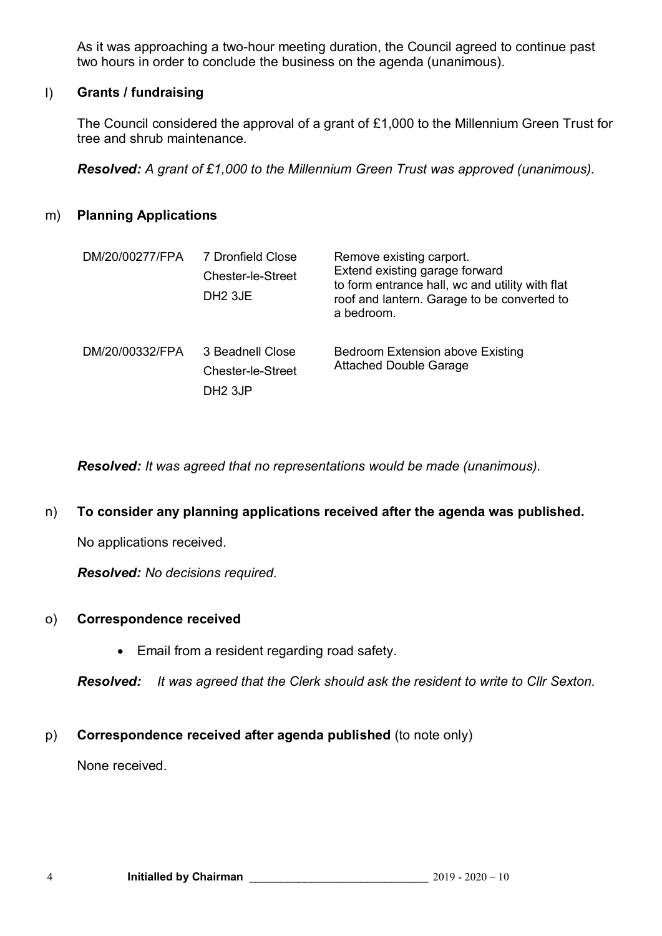As it was approaching a two-hour meeting duration, the Council agreed to continue past two hours in order to conclude the business on the agenda (unanimous).

# l) **Grants / fundraising**

The Council considered the approval of a grant of £1,000 to the Millennium Green Trust for tree and shrub maintenance.

*Resolved: A grant of £1,000 to the Millennium Green Trust was approved (unanimous).*

# m) **Planning Applications**

| DM/20/00277/FPA | 7 Dronfield Close<br><b>Chester-le-Street</b><br>DH <sub>2</sub> 3JE | Remove existing carport.<br>Extend existing garage forward<br>to form entrance hall, wc and utility with flat<br>roof and lantern. Garage to be converted to<br>a bedroom. |
|-----------------|----------------------------------------------------------------------|----------------------------------------------------------------------------------------------------------------------------------------------------------------------------|
| DM/20/00332/FPA | 3 Beadnell Close<br>Chester-le-Street<br>DH <sub>2</sub> 3JP         | Bedroom Extension above Existing<br><b>Attached Double Garage</b>                                                                                                          |

*Resolved: It was agreed that no representations would be made (unanimous).*

#### n) **To consider any planning applications received after the agenda was published.**

No applications received.

*Resolved: No decisions required.*

#### o) **Correspondence received**

Email from a resident regarding road safety.

*Resolved: It was agreed that the Clerk should ask the resident to write to Cllr Sexton.*

# p) **Correspondence received after agenda published** (to note only)

None received.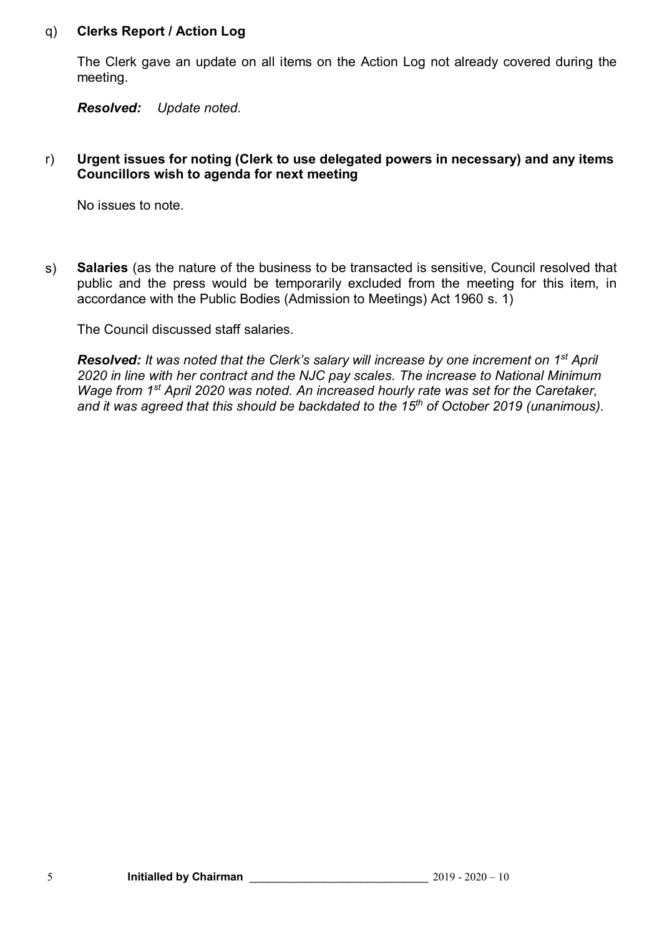#### q) **Clerks Report / Action Log**

The Clerk gave an update on all items on the Action Log not already covered during the meeting.

*Resolved: Update noted.*

### r) **Urgent issues for noting (Clerk to use delegated powers in necessary) and any items Councillors wish to agenda for next meeting**

No issues to note.

s) **Salaries** (as the nature of the business to be transacted is sensitive, Council resolved that public and the press would be temporarily excluded from the meeting for this item, in accordance with the Public Bodies (Admission to Meetings) Act 1960 s. 1)

The Council discussed staff salaries.

*Resolved: It was noted that the Clerk's salary will increase by one increment on 1st April 2020 in line with her contract and the NJC pay scales. The increase to National Minimum Wage from 1st April 2020 was noted. An increased hourly rate was set for the Caretaker, and it was agreed that this should be backdated to the 15th of October 2019 (unanimous).*